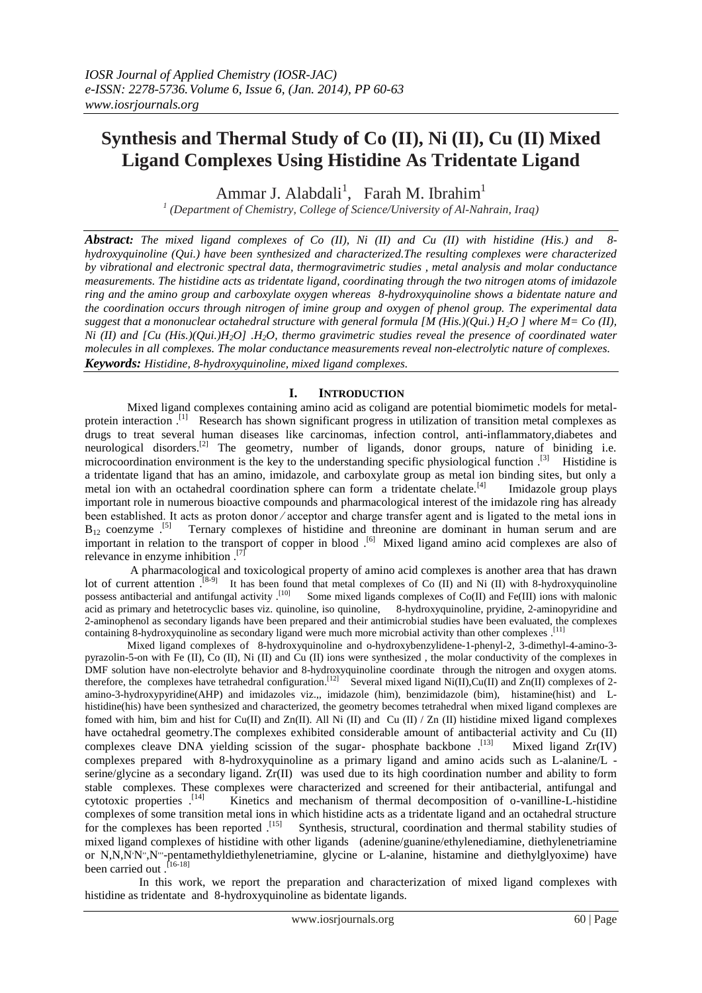# **Synthesis and Thermal Study of Co (II), Ni (II), Cu (II) Mixed Ligand Complexes Using Histidine As Tridentate Ligand**

Ammar J. Alabdali<sup>1</sup>, Farah M. Ibrahim<sup>1</sup>

*1 (Department of Chemistry, College of Science/University of Al-Nahrain, Iraq)*

*Abstract: The mixed ligand complexes of Co (II), Ni (II) and Cu (II) with histidine (His.) and 8 hydroxyquinoline (Qui.) have been synthesized and characterized.The resulting complexes were characterized by vibrational and electronic spectral data, thermogravimetric studies , metal analysis and molar conductance measurements. The histidine acts as tridentate ligand, coordinating through the two nitrogen atoms of imidazole ring and the amino group and carboxylate oxygen whereas 8-hydroxyquinoline shows a bidentate nature and the coordination occurs through nitrogen of imine group and oxygen of phenol group. The experimental data suggest that a mononuclear octahedral structure with general formula [M (His.)(Qui.) H2O ] where M= Co (II), Ni (II) and [Cu (His.)(Qui.)H2O] .H2O, thermo gravimetric studies reveal the presence of coordinated water molecules in all complexes. The molar conductance measurements reveal non-electrolytic nature of complexes. Keywords: Histidine, 8-hydroxyquinoline, mixed ligand complexes.*

# **I. INTRODUCTION**

Mixed ligand complexes containing amino acid as coligand are potential biomimetic models for metalprotein interaction.<sup>[1]</sup> Research has shown significant progress in utilization of transition metal complexes as drugs to treat several human diseases like carcinomas, infection control, anti-inflammatory,diabetes and neurological disorders.<sup>[2]</sup> The geometry, number of ligands, donor groups, nature of biniding i.e. microcoordination environment is the key to the understanding specific physiological function .<sup>[3]</sup> Histidine is a tridentate ligand that has an amino, imidazole, and carboxylate group as metal ion binding sites, but only a metal ion with an octahedral coordination sphere can form a tridentate chelate.<sup>[4]</sup> Imidazole group plays important role in numerous bioactive compounds and pharmacological interest of the imidazole ring has already been established. It acts as proton donor ∕ acceptor and charge transfer agent and is ligated to the metal ions in  $B_{12}$  coenzyme .<sup>[5]</sup> Ternary complexes of histidine and threonine are dominant in human serum and are important in relation to the transport of copper in blood .<sup>[6]</sup> Mixed ligand amino acid complexes are also of relevance in enzyme inhibition . [7]

A pharmacological and toxicological property of amino acid complexes is another area that has drawn lot of current attention.<sup>[8-9]</sup> It has been found that metal complexes of Co (II) and Ni (II) with 8-hydroxyquinoline possess antibacterial and antifungal activity  $\binom{10}{1}$  Some mixed ligands complexes of Co(II) and Fe(III) ions with malonic acid as primary and hetetrocyclic bases viz. quinoline, iso quinoline, 8-hydroxyquinoline, pryidine, 2-aminopyridine and 2-aminophenol as secondary ligands have been prepared and their antimicrobial studies have been evaluated, the complexes containing 8-hydroxyquinoline as secondary ligand were much more microbial activity than other complexes . [11]

Mixed ligand complexes of 8-hydroxyquinoline and o-hydroxybenzylidene-1-phenyl-2, 3-dimethyl-4-amino-3 pyrazolin-5-on with Fe (II), Co (II), Ni (II) and Cu (II) ions were synthesized , the molar conductivity of the complexes in DMF solution have non-electrolyte behavior and 8-hydroxyquinoline coordinate through the nitrogen and oxygen atoms. therefore, the complexes have tetrahedral configuration.<sup>[12]</sup> Several mixed ligand Ni(II),Cu(II) and Zn(II) complexes of 2amino-3-hydroxypyridine(AHP) and imidazoles viz.,, imidazole (him), benzimidazole (bim), histamine(hist) and Lhistidine(his) have been synthesized and characterized, the geometry becomes tetrahedral when mixed ligand complexes are fomed with him, bim and hist for Cu(II) and Zn(II). All Ni (II) and Cu (II) / Zn (II) histidine mixed ligand complexes have octahedral geometry.The complexes exhibited considerable amount of antibacterial activity and Cu (II) complexes cleave DNA yielding scission of the sugar- phosphate backbone . [13] Mixed ligand Zr(IV) complexes prepared with 8-hydroxyquinoline as a primary ligand and amino acids such as L-alanine/L serine/glycine as a secondary ligand. Zr(II) was used due to its high coordination number and ability to form stable complexes. These complexes were characterized and screened for their antibacterial, antifungal and cytotoxic properties . [14] Kinetics and mechanism of thermal decomposition of o-vanilline-L-histidine complexes of some transition metal ions in which histidine acts as a tridentate ligand and an octahedral structure for the complexes has been reported .<sup>[15]</sup> Synthesis, structural, coordination and thermal stability studies of mixed ligand complexes of histidine with other ligands (adenine/guanine/ethylenediamine, diethylenetriamine or N,N,N'N",N"'-pentamethyldiethylenetriamine, glycine or L-alanine, histamine and diethylglyoxime) have been carried out .<sup>[16-18]</sup>

 In this work, we report the preparation and characterization of mixed ligand complexes with histidine as tridentate and 8-hydroxyquinoline as bidentate ligands.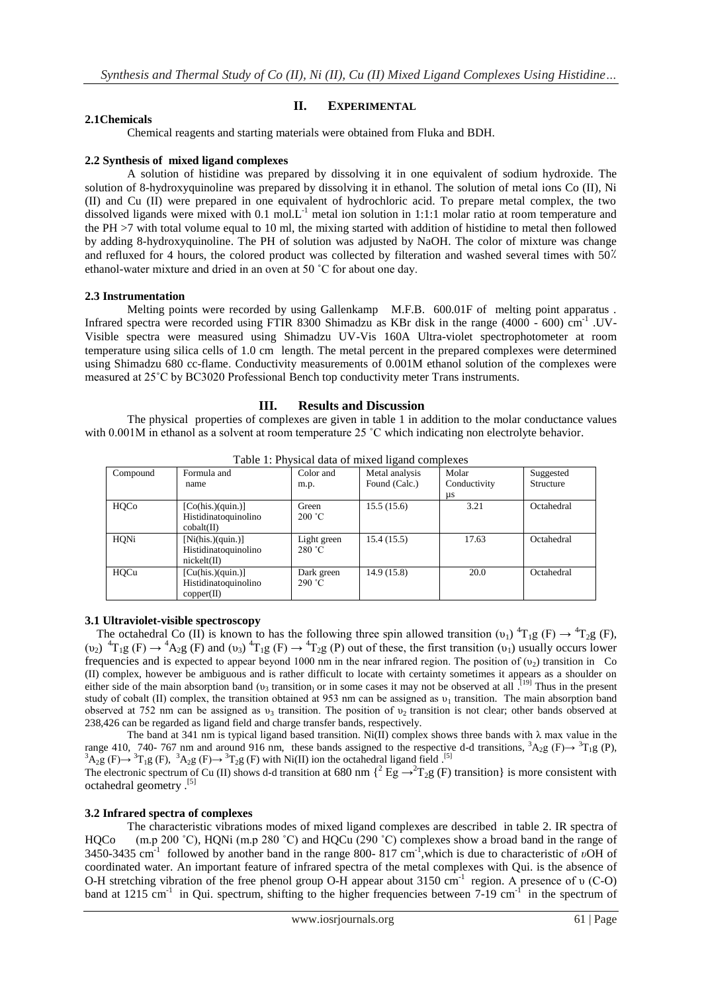# **II. EXPERIMENTAL**

### **2.1Chemicals**

Chemical reagents and starting materials were obtained from Fluka and BDH.

#### **2.2 Synthesis of mixed ligand complexes**

 A solution of histidine was prepared by dissolving it in one equivalent of sodium hydroxide. The solution of 8-hydroxyquinoline was prepared by dissolving it in ethanol. The solution of metal ions Co (II), Ni (II) and Cu (II) were prepared in one equivalent of hydrochloric acid. To prepare metal complex, the two dissolved ligands were mixed with 0.1 mol.L<sup>-1</sup> metal ion solution in 1:1:1 molar ratio at room temperature and the PH >7 with total volume equal to 10 ml, the mixing started with addition of histidine to metal then followed by adding 8-hydroxyquinoline. The PH of solution was adjusted by NaOH. The color of mixture was change and refluxed for 4 hours, the colored product was collected by filteration and washed several times with 50٪ ethanol-water mixture and dried in an oven at 50 ˚C for about one day.

#### **2.3 Instrumentation**

Melting points were recorded by using Gallenkamp M.F.B. 600.01F of melting point apparatus. Infrared spectra were recorded using FTIR 8300 Shimadzu as KBr disk in the range (4000 - 600) cm<sup>-1</sup> .UV-Visible spectra were measured using Shimadzu UV-Vis 160A Ultra-violet spectrophotometer at room temperature using silica cells of 1.0 cm length. The metal percent in the prepared complexes were determined using Shimadzu 680 cc-flame. Conductivity measurements of 0.001M ethanol solution of the complexes were measured at 25˚C by BC3020 Professional Bench top conductivity meter Trans instruments.

# **III. Results and Discussion**

 The physical properties of complexes are given in table 1 in addition to the molar conductance values with 0.001M in ethanol as a solvent at room temperature 25 °C which indicating non electrolyte behavior.

| ruote 1, 1 n joieur uuun ol hinneu ngunu eompleneo |                                                                   |                       |                |              |            |  |
|----------------------------------------------------|-------------------------------------------------------------------|-----------------------|----------------|--------------|------------|--|
| Compound                                           | Formula and                                                       | Color and             | Metal analysis | Molar        | Suggested  |  |
|                                                    | name                                                              | m.p.                  | Found (Calc.)  | Conductivity | Structure  |  |
|                                                    |                                                                   |                       |                | us           |            |  |
| HQCo                                               | [Co(his.)(quin.)]<br>Histidinatoquinolino<br>$\text{cobalt}(\Pi)$ | Green<br>200 °C       | 15.5(15.6)     | 3.21         | Octahedral |  |
| HONi                                               | [Ni(his.)(quin.)]<br>Histidinatoquinolino<br>nickelt(II)          | Light green<br>280 °C | 15.4(15.5)     | 17.63        | Octahedral |  |
| HOCu                                               | [Cu(his.)(quin.)]<br>Histidinatoquinolino<br>copper(II)           | Dark green<br>290 °C  | 14.9(15.8)     | 20.0         | Octahedral |  |

Table 1: Physical data of mixed ligand complexes

### **3.1 Ultraviolet-visible spectroscopy**

The octahedral Co (II) is known to has the following three spin allowed transition ( $v_1$ )  ${}^4T_1g$  (F)  $\rightarrow {}^4T_2g$  (F),  $(v_2)$  <sup>4</sup>T<sub>1</sub>g (F)  $\rightarrow$  <sup>4</sup>A<sub>2</sub>g (F) and  $(v_3)$  <sup>4</sup>T<sub>1</sub>g (F)  $\rightarrow$  <sup>4</sup>T<sub>2</sub>g (P) out of these, the first transition  $(v_1)$  usually occurs lower frequencies and is expected to appear beyond 1000 nm in the near infrared region. The position of  $(v_2)$  transition in Co (II) complex, however be ambiguous and is rather difficult to locate with certainty sometimes it appears as a shoulder on either side of the main absorption band  $(v_3$  transition, or in some cases it may not be observed at all  $[19]$  Thus in the present study of cobalt (II) complex, the transition obtained at 953 nm can be assigned as  $v_1$  transition. The main absorption band observed at 752 nm can be assigned as  $v_3$  transition. The position of  $v_2$  transition is not clear; other bands observed at 238,426 can be regarded as ligand field and charge transfer bands, respectively.

The band at 341 nm is typical ligand based transition. Ni(II) complex shows three bands with  $\lambda$  max value in the range 410, 740- 767 nm and around 916 nm, these bands assigned to the respective d-d transitions,  ${}^{3}A_{2}g$  (F)  $\rightarrow$   ${}^{3}T_{1}g$  (P),  ${}^{3}A_{2}g$  (F)  $\rightarrow$   ${}^{3}T_{1}g$  (F),  ${}^{3}A_{2}g$  (F)  $\rightarrow$   ${}^{3}T_{2}g$  (F) with Ni(II) ion the octahedral ligand field .<sup>[5]</sup>

The electronic spectrum of Cu (II) shows d-d transition at 680 nm  $\int_1^2 Eg \rightarrow T_2g$  (F) transition is more consistent with octahedral geometry .<sup>[5]</sup>

### **3.2 Infrared spectra of complexes**

 The characteristic vibrations modes of mixed ligand complexes are described in table 2. IR spectra of HQCo (m.p 200 °C), HQNi (m.p 280 °C) and HQCu (290 °C) complexes show a broad band in the range of 3450-3435 cm<sup>-1</sup> followed by another band in the range 800- 817 cm<sup>-1</sup>, which is due to characteristic of *υ*OH of coordinated water. An important feature of infrared spectra of the metal complexes with Qui. is the absence of O-H stretching vibration of the free phenol group O-H appear about 3150 cm<sup>-1</sup> region. A presence of v (C-O) band at 1215 cm<sup>-1</sup> in Qui. spectrum, shifting to the higher frequencies between 7-19 cm<sup>-1</sup> in the spectrum of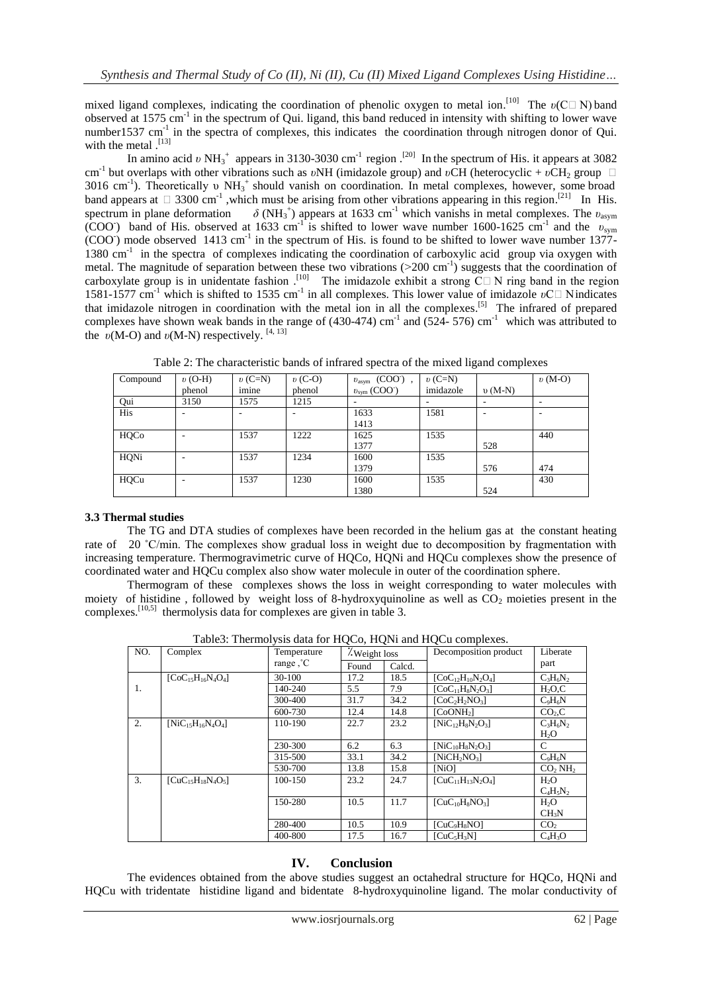mixed ligand complexes, indicating the coordination of phenolic oxygen to metal ion.<sup>[10]</sup> The  $v(C \Box N)$  band observed at 1575 cm<sup>-1</sup> in the spectrum of Qui. ligand, this band reduced in intensity with shifting to lower wave number1537 cm<sup>-1</sup> in the spectra of complexes, this indicates the coordination through nitrogen donor of Qui. with the metal .<sup>[13]</sup>

In amino acid *v* NH<sub>3</sub><sup>+</sup> appears in 3130-3030 cm<sup>-1</sup> region .<sup>[20]</sup> In the spectrum of His. it appears at 3082 cm<sup>-1</sup> but overlaps with other vibrations such as *vNH* (imidazole group) and *vCH* (heterocyclic + *vCH*<sub>2</sub> group □ 3016 cm<sup>-1</sup>). Theoretically υ NH<sub>3</sub><sup>+</sup> should vanish on coordination. In metal complexes, however, some broad band appears at  $\Box$  3300 cm<sup>-1</sup>, which must be arising from other vibrations appearing in this region.<sup>[21]</sup> In His. spectrum in plane deformation <sup>+</sup>) appears at 1633 cm<sup>-1</sup> which vanishs in metal complexes. The  $v_{\text{asym}}$ (COO) band of His. observed at 1633 cm<sup>-1</sup> is shifted to lower wave number 1600-1625 cm<sup>-1</sup> and the  $v_{sym}$  $(COO)$  mode observed 1413 cm<sup>-1</sup> in the spectrum of His. is found to be shifted to lower wave number 1377-1380 cm<sup>-1</sup> in the spectra of complexes indicating the coordination of carboxylic acid group via oxygen with metal. The magnitude of separation between these two vibrations (>200 cm<sup>-1</sup>) suggests that the coordination of carboxylate group is in unidentate fashion.<sup>[10]</sup> The imidazole exhibit a strong  $\overline{C} \Box N$  ring band in the region 1581-1577 cm<sup>-1</sup> which is shifted to 1535 cm<sup>-1</sup> in all complexes. This lower value of imidazole *v*C□ Nindicates that imidazole nitrogen in coordination with the metal ion in all the complexes.<sup>[5]</sup> The infrared of prepared complexes have shown weak bands in the range of  $(430-474)$  cm<sup>-1</sup> and  $(524-576)$  cm<sup>-1</sup> which was attributed to the  $v(M-O)$  and  $v(M-N)$  respectively. <sup>[4, 13]</sup>

| Compound | $v$ (O-H) | $v(C=N)$ | $v$ (C-O) | $v_{\text{asym}}$ (COO ),     | $v(C=N)$  |          | $v(M-O)$ |
|----------|-----------|----------|-----------|-------------------------------|-----------|----------|----------|
|          | phenol    | imine    | phenol    | $v_{sym}$ (COO <sup>-</sup> ) | imidazole | $v(M-N)$ |          |
| Qui      | 3150      | 1575     | 1215      |                               |           |          |          |
| His      |           |          |           | 1633                          | 1581      |          |          |
|          |           |          |           | 1413                          |           |          |          |
| HQCo     |           | 1537     | 1222      | 1625                          | 1535      |          | 440      |
|          |           |          |           | 1377                          |           | 528      |          |
| HQNi     |           | 1537     | 1234      | 1600                          | 1535      |          |          |
|          |           |          |           | 1379                          |           | 576      | 474      |
| HQCu     |           | 1537     | 1230      | 1600                          | 1535      |          | 430      |
|          |           |          |           | 1380                          |           | 524      |          |

Table 2: The characteristic bands of infrared spectra of the mixed ligand complexes

# **3.3 Thermal studies**

 The TG and DTA studies of complexes have been recorded in the helium gas at the constant heating rate of 20 °C/min. The complexes show gradual loss in weight due to decomposition by fragmentation with increasing temperature. Thermogravimetric curve of HQCo, HQNi and HQCu complexes show the presence of coordinated water and HQCu complex also show water molecule in outer of the coordination sphere.

Thermogram of these complexes shows the loss in weight corresponding to water molecules with moiety of histidine, followed by weight loss of 8-hydroxyquinoline as well as  $CO<sub>2</sub>$  moieties present in the complexes.<sup>[10,5]</sup> thermolysis data for complexes are given in table 3.

| Table). Thermorysis data for froco, from and frocu complexes. |                          |                          |               |        |                                      |                                 |  |  |
|---------------------------------------------------------------|--------------------------|--------------------------|---------------|--------|--------------------------------------|---------------------------------|--|--|
| NO.                                                           | Complex                  | Temperature<br>range, °C | . Weight loss |        | Decomposition product                | Liberate                        |  |  |
|                                                               |                          |                          | Found         | Calcd. |                                      | part                            |  |  |
|                                                               | $[CoC15H16N4O4]$         | 30-100                   | 17.2          | 18.5   | $[CoC_{12}H_{10}N_2O_4]$             | $C_3H_6N_2$                     |  |  |
| 1.                                                            |                          | 140-240                  | 5.5           | 7.9    | $[CoC11H8N2O3]$                      | H <sub>2</sub> O <sub>c</sub>   |  |  |
|                                                               |                          | 300-400                  | 31.7          | 34.2   | $[CoC2H2NO3]$                        | $C_9H_6N$                       |  |  |
|                                                               |                          | 600-730                  | 12.4          | 14.8   | [CoONH <sub>2</sub> ]                | CO <sub>2</sub> , C             |  |  |
| 2.                                                            | $[NiC_{15}H_{16}N_4O_4]$ | 110-190                  | 22.7          | 23.2   | $[NiC_{12}H_8N_2O_3]$                | $C_3H_6N_2$                     |  |  |
|                                                               |                          |                          |               |        |                                      | H <sub>2</sub> O                |  |  |
|                                                               |                          | 230-300                  | 6.2           | 6.3    | $[NiC_{10}H_8N_2O_3]$                | C                               |  |  |
|                                                               |                          | 315-500                  | 33.1          | 34.2   | $[NicH_2NO_3]$                       | $C_9H_6N$                       |  |  |
|                                                               |                          | 530-700                  | 13.8          | 15.8   | [NiO]                                | CO <sub>2</sub> NH <sub>2</sub> |  |  |
| 3.                                                            | $[CuC15H18N4O5]$         | 100-150                  | 23.2          | 24.7   | $[CuC11H13N2O4]$                     | H <sub>2</sub> O                |  |  |
|                                                               |                          |                          |               |        |                                      | $C_4H_5N_2$                     |  |  |
|                                                               |                          | 150-280                  | 10.5          | 11.7   | $[CuC10H8NO3]$                       | H <sub>2</sub> O                |  |  |
|                                                               |                          |                          |               |        |                                      | CH <sub>3</sub> N               |  |  |
|                                                               |                          | 280-400                  | 10.5          | 10.9   | [CuC <sub>9</sub> H <sub>8</sub> NO] | CO <sub>2</sub>                 |  |  |
|                                                               |                          | 400-800                  | 17.5          | 16.7   | [CuC <sub>5</sub> H <sub>3</sub> N]  | $C_4H_3O$                       |  |  |

Table3: Thermolysis data for HQCo, HQNi and HQCu complexes.

# **IV. Conclusion**

The evidences obtained from the above studies suggest an octahedral structure for HQCo, HQNi and HQCu with tridentate histidine ligand and bidentate 8-hydroxyquinoline ligand. The molar conductivity of